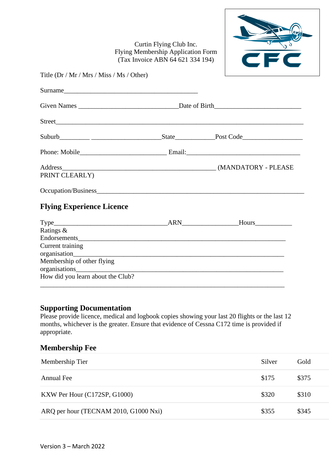Curtin Flying Club Inc. Flying Membership Application Form (Tax Invoice ABN 64 621 334 194)



| Title (Dr / Mr / Mrs / Miss / Ms / Other) |  |  |
|-------------------------------------------|--|--|
| Surname                                   |  |  |
|                                           |  |  |
|                                           |  |  |
|                                           |  |  |
|                                           |  |  |
| PRINT CLEARLY)                            |  |  |
|                                           |  |  |
| <b>Flying Experience Licence</b>          |  |  |

| Type_                             | <b>ARN</b> | Hours |
|-----------------------------------|------------|-------|
| Ratings &                         |            |       |
| Endorsements                      |            |       |
| Current training                  |            |       |
|                                   |            |       |
| Membership of other flying        |            |       |
| organisations                     |            |       |
| How did you learn about the Club? |            |       |
|                                   |            |       |

## **Supporting Documentation**

Please provide licence, medical and logbook copies showing your last 20 flights or the last 12 months, whichever is the greater. Ensure that evidence of Cessna C172 time is provided if appropriate.

## **Membership Fee**

| Membership Tier                       | Silver | Gold  |
|---------------------------------------|--------|-------|
| Annual Fee                            | \$175  | \$375 |
| KXW Per Hour (C172SP, G1000)          | \$320  | \$310 |
| ARQ per hour (TECNAM 2010, G1000 Nxi) | \$355  | \$345 |